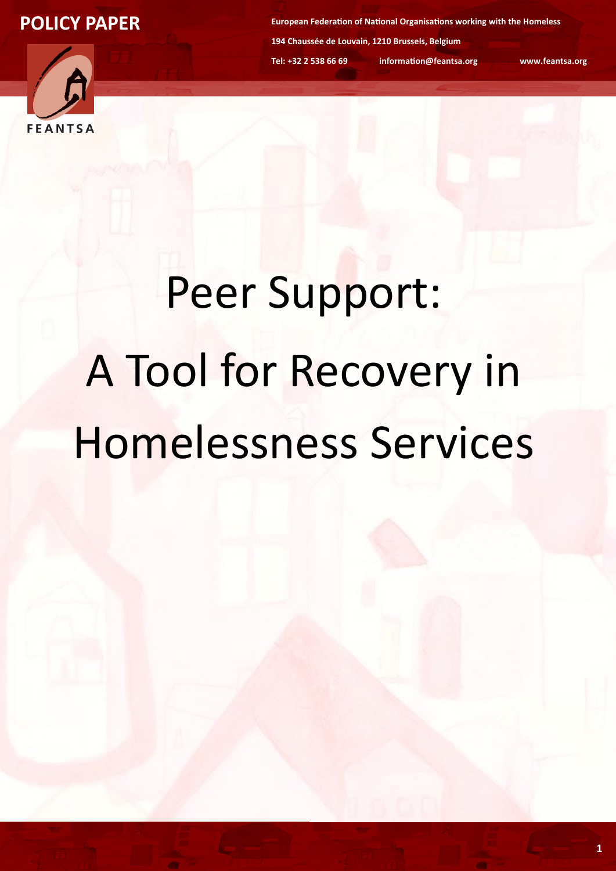

**European Federation of National Organisations working with the Homeless 194 Chaussée de Louvain, 1210 Brussels, Belgium Tel: +32 2 538 66 69 information@feantsa.org www.feantsa.org**

# Peer Support: A Tool for Recovery in Homelessness Services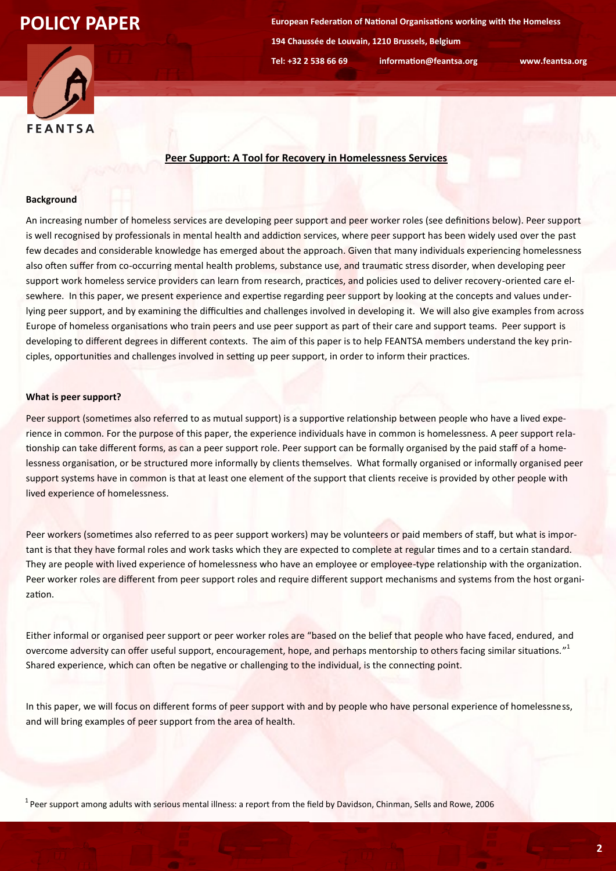**European Federation of National Organisations working with the Homeless 194 Chaussée de Louvain, 1210 Brussels, Belgium Tel: +32 2 538 66 69 information@feantsa.org www.feantsa.org**



## **Peer Support: A Tool for Recovery in Homelessness Services**

#### **Background**

An increasing number of homeless services are developing peer support and peer worker roles (see definitions below). Peer support is well recognised by professionals in mental health and addiction services, where peer support has been widely used over the past few decades and considerable knowledge has emerged about the approach. Given that many individuals experiencing homelessness also often suffer from co-occurring mental health problems, substance use, and traumatic stress disorder, when developing peer support work homeless service providers can learn from research, practices, and policies used to deliver recovery-oriented care elsewhere. In this paper, we present experience and expertise regarding peer support by looking at the concepts and values underlying peer support, and by examining the difficulties and challenges involved in developing it. We will also give examples from across Europe of homeless organisations who train peers and use peer support as part of their care and support teams. Peer support is developing to different degrees in different contexts. The aim of this paper is to help FEANTSA members understand the key principles, opportunities and challenges involved in setting up peer support, in order to inform their practices.

#### **What is peer support?**

Peer support (sometimes also referred to as mutual support) is a supportive relationship between people who have a lived experience in common. For the purpose of this paper, the experience individuals have in common is homelessness. A peer support relationship can take different forms, as can a peer support role. Peer support can be formally organised by the paid staff of a homelessness organisation, or be structured more informally by clients themselves. What formally organised or informally organised peer support systems have in common is that at least one element of the support that clients receive is provided by other people with lived experience of homelessness.

Peer workers (sometimes also referred to as peer support workers) may be volunteers or paid members of staff, but what is important is that they have formal roles and work tasks which they are expected to complete at regular times and to a certain standard. They are people with lived experience of homelessness who have an employee or employee-type relationship with the organization. Peer worker roles are different from peer support roles and require different support mechanisms and systems from the host organization.

Either informal or organised peer support or peer worker roles are "based on the belief that people who have faced, endured, and overcome adversity can offer useful support, encouragement, hope, and perhaps mentorship to others facing similar situations."<sup>1</sup> Shared experience, which can often be negative or challenging to the individual, is the connecting point.

In this paper, we will focus on different forms of peer support with and by people who have personal experience of homelessness, and will bring examples of peer support from the area of health.

 $1$  Peer support among adults with serious mental illness: a report from the field by Davidson, Chinman, Sells and Rowe, 2006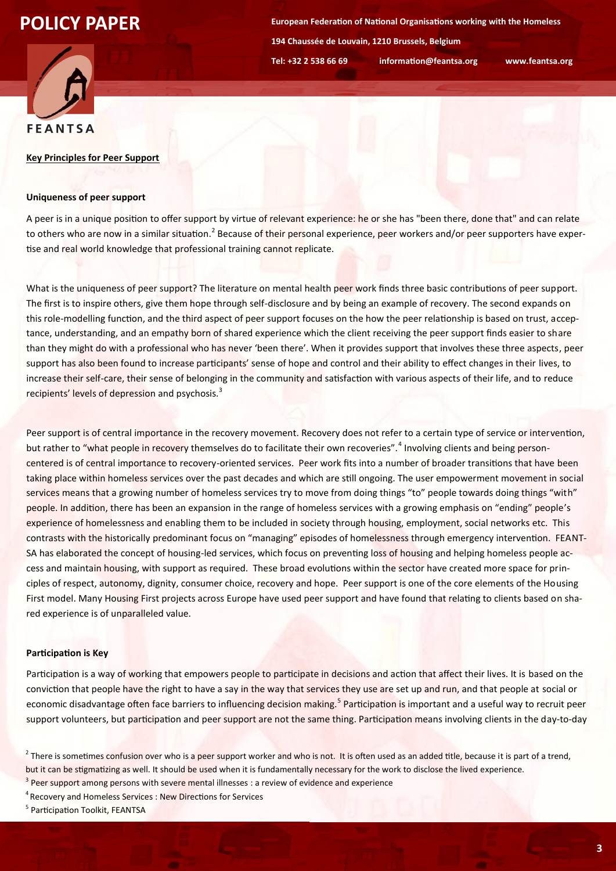**European Federation of National Organisations working with the Homeless 194 Chaussée de Louvain, 1210 Brussels, Belgium Tel: +32 2 538 66 69 information@feantsa.org www.feantsa.org**



#### **Key Principles for Peer Support**

## **Uniqueness of peer support**

A peer is in a unique position to offer support by virtue of relevant experience: he or she has "been there, done that" and can relate to others who are now in a similar situation.<sup>2</sup> Because of their personal experience, peer workers and/or peer supporters have expertise and real world knowledge that professional training cannot replicate.

What is the uniqueness of peer support? The literature on mental health peer work finds three basic contributions of peer support. The first is to inspire others, give them hope through self-disclosure and by being an example of recovery. The second expands on this role-modelling function, and the third aspect of peer support focuses on the how the peer relationship is based on trust, acceptance, understanding, and an empathy born of shared experience which the client receiving the peer support finds easier to share than they might do with a professional who has never 'been there'. When it provides support that involves these three aspects, peer support has also been found to increase participants' sense of hope and control and their ability to effect changes in their lives, to increase their self-care, their sense of belonging in the community and satisfaction with various aspects of their life, and to reduce recipients' levels of depression and psychosis.<sup>3</sup>

Peer support is of central importance in the recovery movement. Recovery does not refer to a certain type of service or intervention, but rather to "what people in recovery themselves do to facilitate their own recoveries".<sup>4</sup> Involving clients and being personcentered is of central importance to recovery-oriented services. Peer work fits into a number of broader transitions that have been taking place within homeless services over the past decades and which are still ongoing. The user empowerment movement in social services means that a growing number of homeless services try to move from doing things "to" people towards doing things "with" people. In addition, there has been an expansion in the range of homeless services with a growing emphasis on "ending" people's experience of homelessness and enabling them to be included in society through housing, employment, social networks etc. This contrasts with the historically predominant focus on "managing" episodes of homelessness through emergency intervention. FEANT-SA has elaborated the concept of housing-led services, which focus on preventing loss of housing and helping homeless people access and maintain housing, with support as required. These broad evolutions within the sector have created more space for principles of respect, autonomy, dignity, consumer choice, recovery and hope. Peer support is one of the core elements of the Housing First model. Many Housing First projects across Europe have used peer support and have found that relating to clients based on shared experience is of unparalleled value.

#### **Participation is Key**

Participation is a way of working that empowers people to participate in decisions and action that affect their lives. It is based on the conviction that people have the right to have a say in the way that services they use are set up and run, and that people at social or economic disadvantage often face barriers to influencing decision making.<sup>5</sup> Participation is important and a useful way to recruit peer support volunteers, but participation and peer support are not the same thing. Participation means involving clients in the day-to-day

 $^2$  There is sometimes confusion over who is a peer support worker and who is not. It is often used as an added title, because it is part of a trend, but it can be stigmatizing as well. It should be used when it is fundamentally necessary for the work to disclose the lived experience.

<sup>&</sup>lt;sup>3</sup> Peer support among persons with severe mental illnesses : a review of evidence and experience

<sup>4</sup>Recovery and Homeless Services : New Directions for Services

<sup>&</sup>lt;sup>5</sup> Participation Toolkit, FEANTSA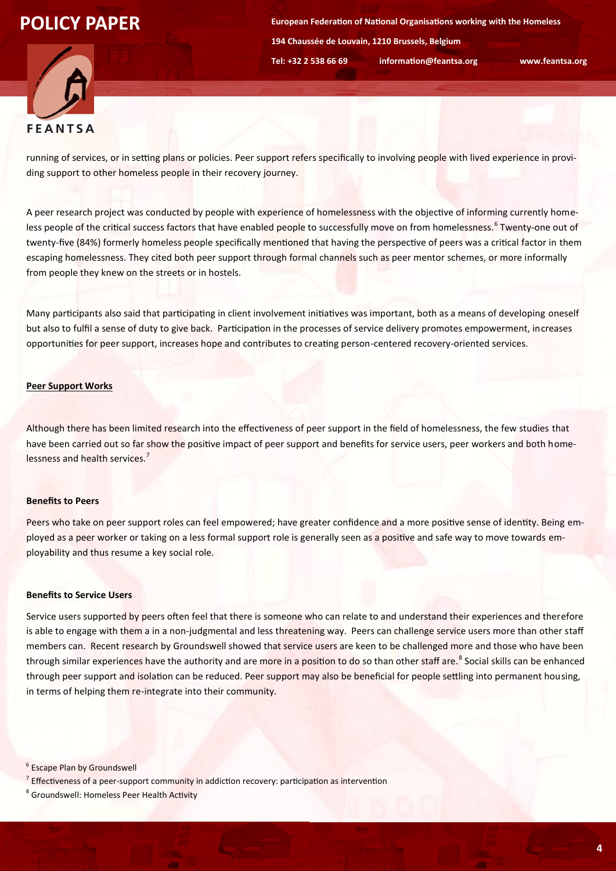**European Federation of National Organisations working with the Homeless 194 Chaussée de Louvain, 1210 Brussels, Belgium Tel: +32 2 538 66 69 information@feantsa.org www.feantsa.org**



running of services, or in setting plans or policies. Peer support refers specifically to involving people with lived experience in providing support to other homeless people in their recovery journey.

A peer research project was conducted by people with experience of homelessness with the objective of informing currently homeless people of the critical success factors that have enabled people to successfully move on from homelessness.<sup>6</sup> Twenty-one out of twenty-five (84%) formerly homeless people specifically mentioned that having the perspective of peers was a critical factor in them escaping homelessness. They cited both peer support through formal channels such as peer mentor schemes, or more informally from people they knew on the streets or in hostels.

Many participants also said that participating in client involvement initiatives was important, both as a means of developing oneself but also to fulfil a sense of duty to give back. Participation in the processes of service delivery promotes empowerment, increases opportunities for peer support, increases hope and contributes to creating person-centered recovery-oriented services.

## **Peer Support Works**

Although there has been limited research into the effectiveness of peer support in the field of homelessness, the few studies that have been carried out so far show the positive impact of peer support and benefits for service users, peer workers and both homelessness and health services.<sup>7</sup>

#### **Benefits to Peers**

Peers who take on peer support roles can feel empowered; have greater confidence and a more positive sense of identity. Being employed as a peer worker or taking on a less formal support role is generally seen as a positive and safe way to move towards employability and thus resume a key social role.

#### **Benefits to Service Users**

Service users supported by peers often feel that there is someone who can relate to and understand their experiences and therefore is able to engage with them a in a non-judgmental and less threatening way. Peers can challenge service users more than other staff members can. Recent research by Groundswell showed that service users are keen to be challenged more and those who have been through similar experiences have the authority and are more in a position to do so than other staff are.<sup>8</sup> Social skills can be enhanced through peer support and isolation can be reduced. Peer support may also be beneficial for people settling into permanent housing, in terms of helping them re-integrate into their community.

<sup>6</sup> Escape Plan by Groundswell

<sup>7</sup> Effectiveness of a peer-support community in addiction recovery: participation as intervention

<sup>8</sup> Groundswell: Homeless Peer Health Activity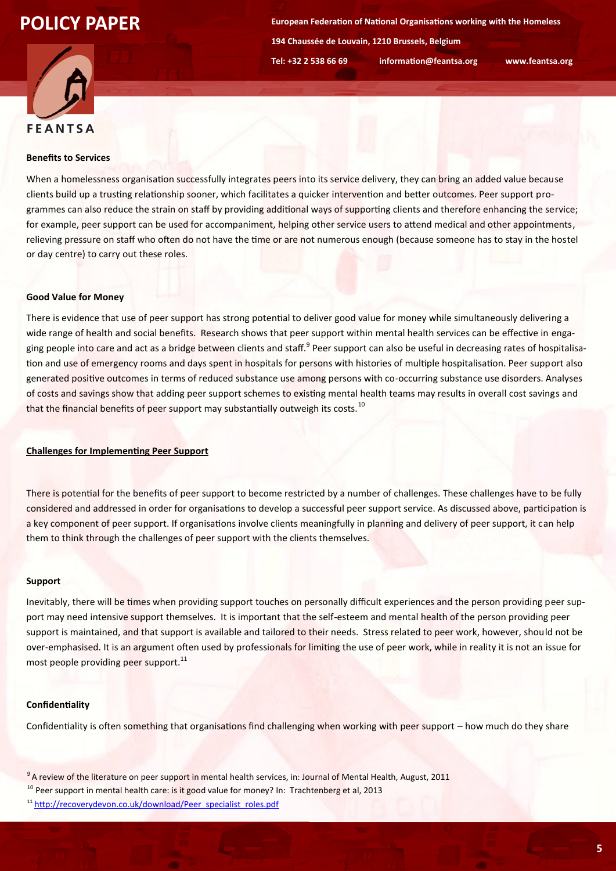**European Federation of National Organisations working with the Homeless 194 Chaussée de Louvain, 1210 Brussels, Belgium Tel: +32 2 538 66 69 information@feantsa.org www.feantsa.org**



#### **Benefits to Services**

When a homelessness organisation successfully integrates peers into its service delivery, they can bring an added value because clients build up a trusting relationship sooner, which facilitates a quicker intervention and better outcomes. Peer support programmes can also reduce the strain on staff by providing additional ways of supporting clients and therefore enhancing the service; for example, peer support can be used for accompaniment, helping other service users to attend medical and other appointments, relieving pressure on staff who often do not have the time or are not numerous enough (because someone has to stay in the hostel or day centre) to carry out these roles.

## **Good Value for Money**

There is evidence that use of peer support has strong potential to deliver good value for money while simultaneously delivering a wide range of health and social benefits. Research shows that peer support within mental health services can be effective in engaging people into care and act as a bridge between clients and staff.<sup>9</sup> Peer support can also be useful in decreasing rates of hospitalisation and use of emergency rooms and days spent in hospitals for persons with histories of multiple hospitalisation. Peer support also generated positive outcomes in terms of reduced substance use among persons with co-occurring substance use disorders. Analyses of costs and savings show that adding peer support schemes to existing mental health teams may results in overall cost savings and that the financial benefits of peer support may substantially outweigh its costs.<sup>10</sup>

## **Challenges for Implementing Peer Support**

There is potential for the benefits of peer support to become restricted by a number of challenges. These challenges have to be fully considered and addressed in order for organisations to develop a successful peer support service. As discussed above, participation is a key component of peer support. If organisations involve clients meaningfully in planning and delivery of peer support, it can help them to think through the challenges of peer support with the clients themselves.

#### **Support**

Inevitably, there will be times when providing support touches on personally difficult experiences and the person providing peer support may need intensive support themselves. It is important that the self-esteem and mental health of the person providing peer support is maintained, and that support is available and tailored to their needs. Stress related to peer work, however, should not be over-emphasised. It is an argument often used by professionals for limiting the use of peer work, while in reality it is not an issue for most people providing peer support.<sup>11</sup>

## **Confidentiality**

Confidentiality is often something that organisations find challenging when working with peer support – how much do they share

<sup>&</sup>lt;sup>9</sup> A review of the literature on peer support in mental health services, in: Journal of Mental Health, August, 2011

<sup>&</sup>lt;sup>10</sup> Peer support in mental health care: is it good value for money? In: Trachtenberg et al, 2013

<sup>&</sup>lt;sup>11</sup> [http://recoverydevon.co.uk/download/Peer\\_specialist\\_roles.pdf](http://recoverydevon.co.uk/download/Peer_specialist_roles.pdf)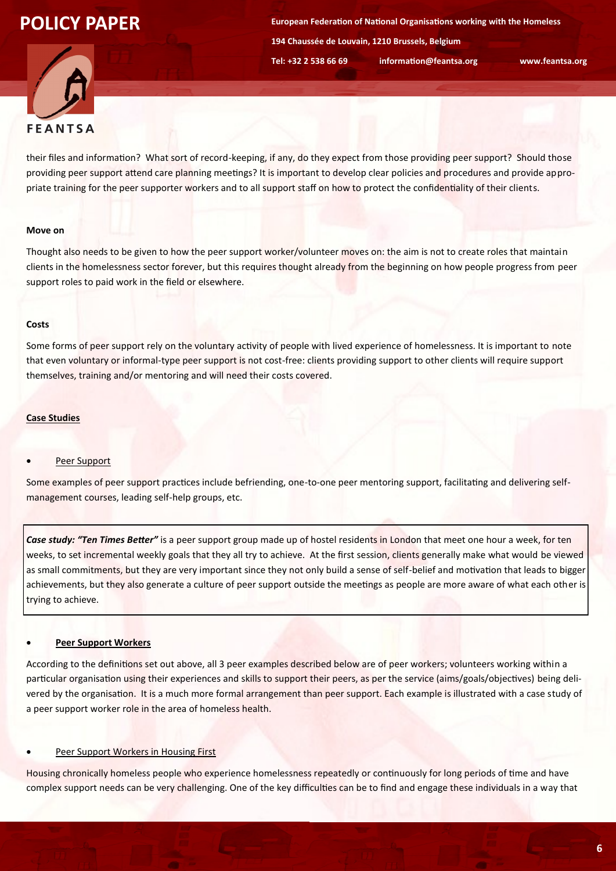**European Federation of National Organisations working with the Homeless 194 Chaussée de Louvain, 1210 Brussels, Belgium Tel: +32 2 538 66 69 information@feantsa.org www.feantsa.org**



their files and information? What sort of record-keeping, if any, do they expect from those providing peer support? Should those providing peer support attend care planning meetings? It is important to develop clear policies and procedures and provide appropriate training for the peer supporter workers and to all support staff on how to protect the confidentiality of their clients.

#### **Move on**

Thought also needs to be given to how the peer support worker/volunteer moves on: the aim is not to create roles that maintain clients in the homelessness sector forever, but this requires thought already from the beginning on how people progress from peer support roles to paid work in the field or elsewhere.

## **Costs**

Some forms of peer support rely on the voluntary activity of people with lived experience of homelessness. It is important to note that even voluntary or informal-type peer support is not cost-free: clients providing support to other clients will require support themselves, training and/or mentoring and will need their costs covered.

## **Case Studies**

## Peer Support

Some examples of peer support practices include befriending, one-to-one peer mentoring support, facilitating and delivering selfmanagement courses, leading self-help groups, etc.

*Case study: "Ten Times Better"* is a peer support group made up of hostel residents in London that meet one hour a week, for ten weeks, to set incremental weekly goals that they all try to achieve. At the first session, clients generally make what would be viewed as small commitments, but they are very important since they not only build a sense of self-belief and motivation that leads to bigger achievements, but they also generate a culture of peer support outside the meetings as people are more aware of what each other is trying to achieve.

## **Peer Support Workers**

According to the definitions set out above, all 3 peer examples described below are of peer workers; volunteers working within a particular organisation using their experiences and skills to support their peers, as per the service (aims/goals/objectives) being delivered by the organisation. It is a much more formal arrangement than peer support. Each example is illustrated with a case study of a peer support worker role in the area of homeless health.

### Peer Support Workers in Housing First

Housing chronically homeless people who experience homelessness repeatedly or continuously for long periods of time and have complex support needs can be very challenging. One of the key difficulties can be to find and engage these individuals in a way that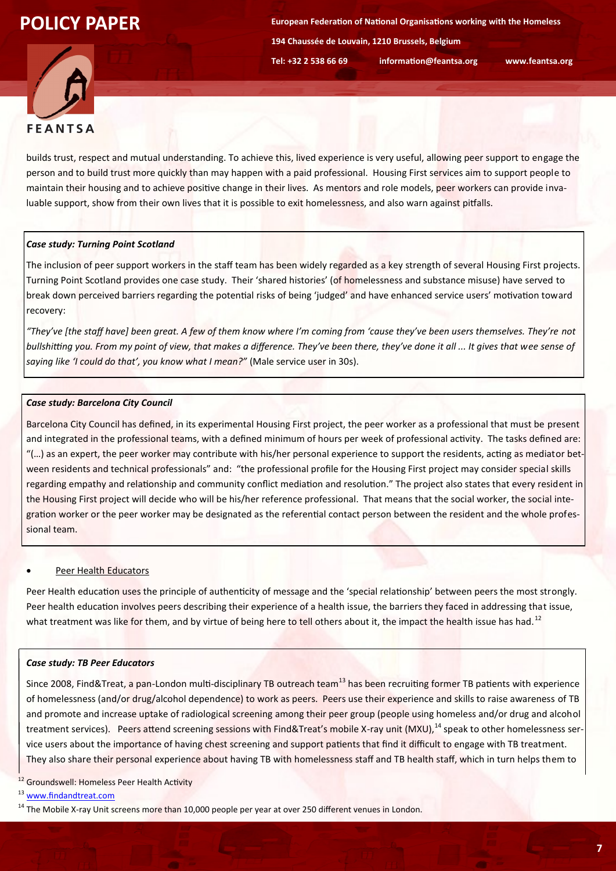**European Federation of National Organisations working with the Homeless 194 Chaussée de Louvain, 1210 Brussels, Belgium Tel: +32 2 538 66 69 information@feantsa.org www.feantsa.org**



builds trust, respect and mutual understanding. To achieve this, lived experience is very useful, allowing peer support to engage the person and to build trust more quickly than may happen with a paid professional. Housing First services aim to support people to maintain their housing and to achieve positive change in their lives. As mentors and role models, peer workers can provide invaluable support, show from their own lives that it is possible to exit homelessness, and also warn against pitfalls.

## *Case study: Turning Point Scotland*

The inclusion of peer support workers in the staff team has been widely regarded as a key strength of several Housing First projects. Turning Point Scotland provides one case study. Their 'shared histories' (of homelessness and substance misuse) have served to break down perceived barriers regarding the potential risks of being 'judged' and have enhanced service users' motivation toward recovery:

*"They've [the staff have] been great. A few of them know where I'm coming from 'cause they've been users themselves. They're not bullshitting you. From my point of view, that makes a difference. They've been there, they've done it all ... It gives that wee sense of saying like 'I could do that', you know what I mean?"* (Male service user in 30s).

## *Case study: Barcelona City Council*

Barcelona City Council has defined, in its experimental Housing First project, the peer worker as a professional that must be present and integrated in the professional teams, with a defined minimum of hours per week of professional activity. The tasks defined are: "(…) as an expert, the peer worker may contribute with his/her personal experience to support the residents, acting as mediator between residents and technical professionals" and: "the professional profile for the Housing First project may consider special skills regarding empathy and relationship and community conflict mediation and resolution." The project also states that every resident in the Housing First project will decide who will be his/her reference professional. That means that the social worker, the social integration worker or the peer worker may be designated as the referential contact person between the resident and the whole professional team.

#### Peer Health Educators

Peer Health education uses the principle of authenticity of message and the 'special relationship' between peers the most strongly. Peer health education involves peers describing their experience of a health issue, the barriers they faced in addressing that issue, what treatment was like for them, and by virtue of being here to tell others about it, the impact the health issue has had.<sup>12</sup>

#### *Case study: TB Peer Educators*

Since 2008, Find&Treat, a pan-London multi-disciplinary TB outreach team<sup>13</sup> has been recruiting former TB patients with experience of homelessness (and/or drug/alcohol dependence) to work as peers. Peers use their experience and skills to raise awareness of TB and promote and increase uptake of radiological screening among their peer group (people using homeless and/or drug and alcohol treatment services). Peers attend screening sessions with Find&Treat's mobile X-ray unit (MXU),<sup>14</sup> speak to other homelessness service users about the importance of having chest screening and support patients that find it difficult to engage with TB treatment. They also share their personal experience about having TB with homelessness staff and TB health staff, which in turn helps them to

<sup>12</sup> Groundswell: Homeless Peer Health Activity

<sup>13</sup> [www.findandtreat.com](http://www.findandtreat.com)

<sup>14</sup> The Mobile X-ray Unit screens more than 10,000 people per year at over 250 different venues in London.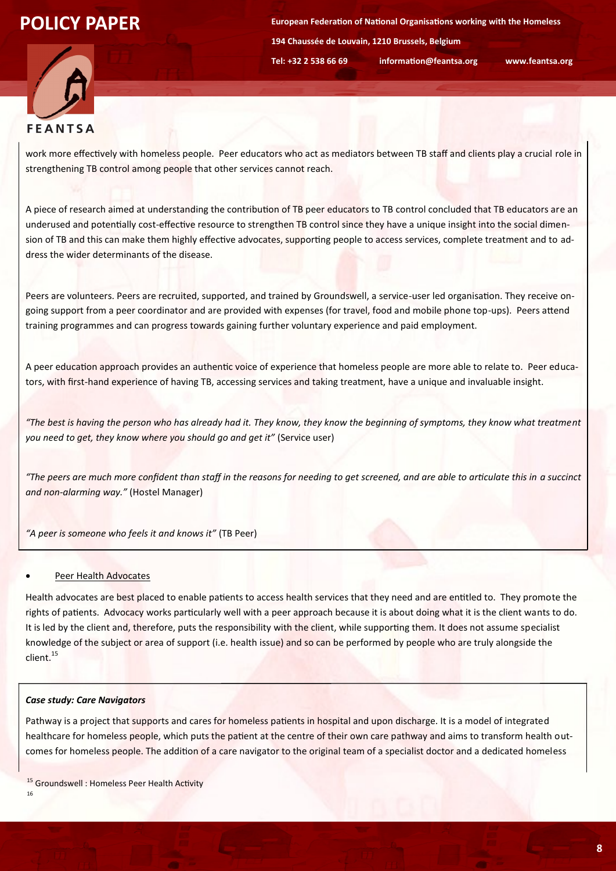**European Federation of National Organisations working with the Homeless 194 Chaussée de Louvain, 1210 Brussels, Belgium Tel: +32 2 538 66 69 information@feantsa.org www.feantsa.org**



work more effectively with homeless people. Peer educators who act as mediators between TB staff and clients play a crucial role in strengthening TB control among people that other services cannot reach.

A piece of research aimed at understanding the contribution of TB peer educators to TB control concluded that TB educators are an underused and potentially cost-effective resource to strengthen TB control since they have a unique insight into the social dimension of TB and this can make them highly effective advocates, supporting people to access services, complete treatment and to address the wider determinants of the disease.

Peers are volunteers. Peers are recruited, supported, and trained by Groundswell, a service-user led organisation. They receive ongoing support from a peer coordinator and are provided with expenses (for travel, food and mobile phone top-ups). Peers attend training programmes and can progress towards gaining further voluntary experience and paid employment.

A peer education approach provides an authentic voice of experience that homeless people are more able to relate to. Peer educators, with first-hand experience of having TB, accessing services and taking treatment, have a unique and invaluable insight.

*"The best is having the person who has already had it. They know, they know the beginning of symptoms, they know what treatment you need to get, they know where you should go and get it"* (Service user)

*"The peers are much more confident than staff in the reasons for needing to get screened, and are able to articulate this in a succinct and non-alarming way."* (Hostel Manager)

*"A peer is someone who feels it and knows it"* (TB Peer)

#### Peer Health Advocates

Health advocates are best placed to enable patients to access health services that they need and are entitled to. They promote the rights of patients. Advocacy works particularly well with a peer approach because it is about doing what it is the client wants to do. It is led by the client and, therefore, puts the responsibility with the client, while supporting them. It does not assume specialist knowledge of the subject or area of support (i.e. health issue) and so can be performed by people who are truly alongside the client.<sup>15</sup>

#### *Case study: Care Navigators*

Pathway is a project that supports and cares for homeless patients in hospital and upon discharge. It is a model of integrated healthcare for homeless people, which puts the patient at the centre of their own care pathway and aims to transform health outcomes for homeless people. The addition of a care navigator to the original team of a specialist doctor and a dedicated homeless

<sup>15</sup> Groundswell : Homeless Peer Health Activity

16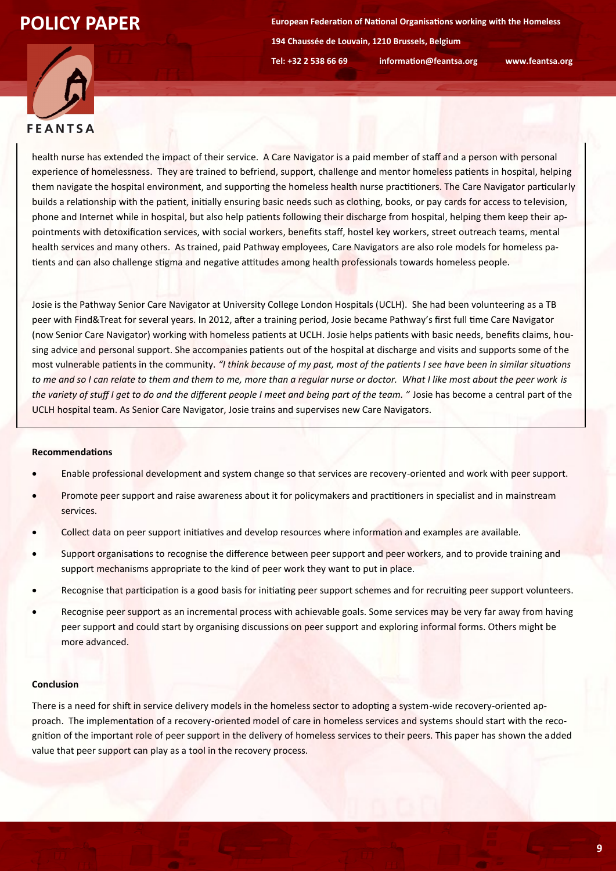**European Federation of National Organisations working with the Homeless 194 Chaussée de Louvain, 1210 Brussels, Belgium Tel: +32 2 538 66 69 information@feantsa.org www.feantsa.org**



health nurse has extended the impact of their service. A Care Navigator is a paid member of staff and a person with personal experience of homelessness. They are trained to befriend, support, challenge and mentor homeless patients in hospital, helping them navigate the hospital environment, and supporting the homeless health nurse practitioners. The Care Navigator particularly builds a relationship with the patient, initially ensuring basic needs such as clothing, books, or pay cards for access to television, phone and Internet while in hospital, but also help patients following their discharge from hospital, helping them keep their appointments with detoxification services, with social workers, benefits staff, hostel key workers, street outreach teams, mental health services and many others. As trained, paid Pathway employees, Care Navigators are also role models for homeless patients and can also challenge stigma and negative attitudes among health professionals towards homeless people.

Josie is the Pathway Senior Care Navigator at University College London Hospitals (UCLH). She had been volunteering as a TB peer with Find&Treat for several years. In 2012, after a training period, Josie became Pathway's first full time Care Navigator (now Senior Care Navigator) working with homeless patients at UCLH. Josie helps patients with basic needs, benefits claims, housing advice and personal support. She accompanies patients out of the hospital at discharge and visits and supports some of the most vulnerable patients in the community. *"I think because of my past, most of the patients I see have been in similar situations to me and so I can relate to them and them to me, more than a regular nurse or doctor. What I like most about the peer work is the variety of stuff I get to do and the different people I meet and being part of the team. "* Josie has become a central part of the UCLH hospital team. As Senior Care Navigator, Josie trains and supervises new Care Navigators.

#### **Recommendations**

- Enable professional development and system change so that services are recovery-oriented and work with peer support.
- Promote peer support and raise awareness about it for policymakers and practitioners in specialist and in mainstream services.
- Collect data on peer support initiatives and develop resources where information and examples are available.
- Support organisations to recognise the difference between peer support and peer workers, and to provide training and support mechanisms appropriate to the kind of peer work they want to put in place.
- Recognise that participation is a good basis for initiating peer support schemes and for recruiting peer support volunteers.
- Recognise peer support as an incremental process with achievable goals. Some services may be very far away from having peer support and could start by organising discussions on peer support and exploring informal forms. Others might be more advanced.

#### **Conclusion**

There is a need for shift in service delivery models in the homeless sector to adopting a system-wide recovery-oriented approach. The implementation of a recovery-oriented model of care in homeless services and systems should start with the recognition of the important role of peer support in the delivery of homeless services to their peers. This paper has shown the added value that peer support can play as a tool in the recovery process.